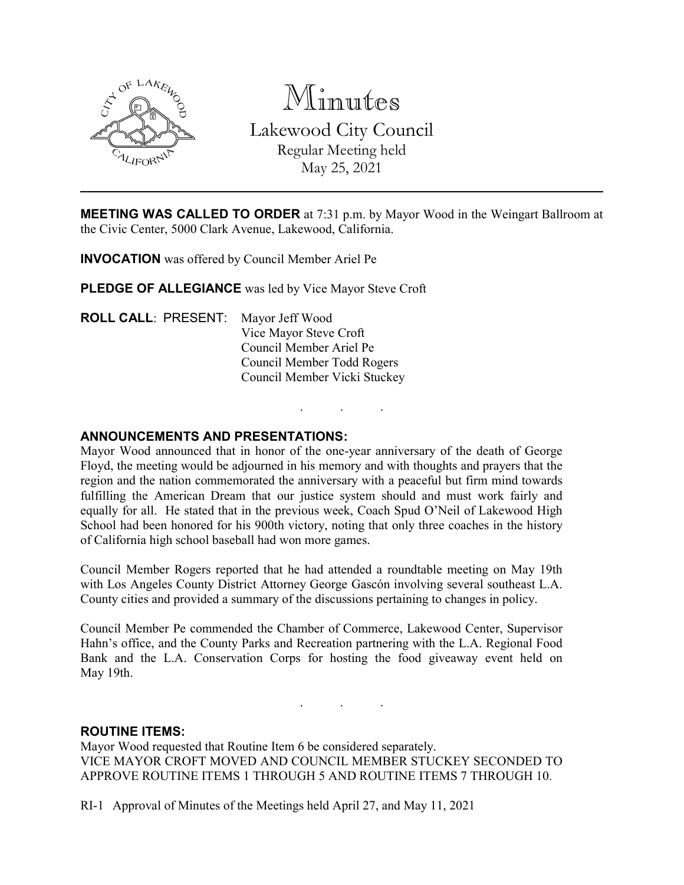

Minutes Lakewood City Council Regular Meeting held May 25, 2021

**MEETING WAS CALLED TO ORDER** at 7:31 p.m. by Mayor Wood in the Weingart Ballroom at the Civic Center, 5000 Clark Avenue, Lakewood, California.

INVOCATION was offered by Council Member Ariel Pe

PLEDGE OF ALLEGIANCE was led by Vice Mayor Steve Croft

ROLL CALL: PRESENT: Mayor Jeff Wood Vice Mayor Steve Croft Council Member Ariel Pe Council Member Todd Rogers Council Member Vicki Stuckey

## ANNOUNCEMENTS AND PRESENTATIONS:

Mayor Wood announced that in honor of the one-year anniversary of the death of George Floyd, the meeting would be adjourned in his memory and with thoughts and prayers that the region and the nation commemorated the anniversary with a peaceful but firm mind towards fulfilling the American Dream that our justice system should and must work fairly and equally for all. He stated that in the previous week, Coach Spud O'Neil of Lakewood High School had been honored for his 900th victory, noting that only three coaches in the history of California high school baseball had won more games.

. . .

Council Member Rogers reported that he had attended a roundtable meeting on May 19th with Los Angeles County District Attorney George Gascón involving several southeast L.A. County cities and provided a summary of the discussions pertaining to changes in policy.

Council Member Pe commended the Chamber of Commerce, Lakewood Center, Supervisor Hahn's office, and the County Parks and Recreation partnering with the L.A. Regional Food Bank and the L.A. Conservation Corps for hosting the food giveaway event held on May 19th.

. . .

ROUTINE ITEMS:

Mayor Wood requested that Routine Item 6 be considered separately. VICE MAYOR CROFT MOVED AND COUNCIL MEMBER STUCKEY SECONDED TO APPROVE ROUTINE ITEMS 1 THROUGH 5 AND ROUTINE ITEMS 7 THROUGH 10.

RI-1 Approval of Minutes of the Meetings held April 27, and May 11, 2021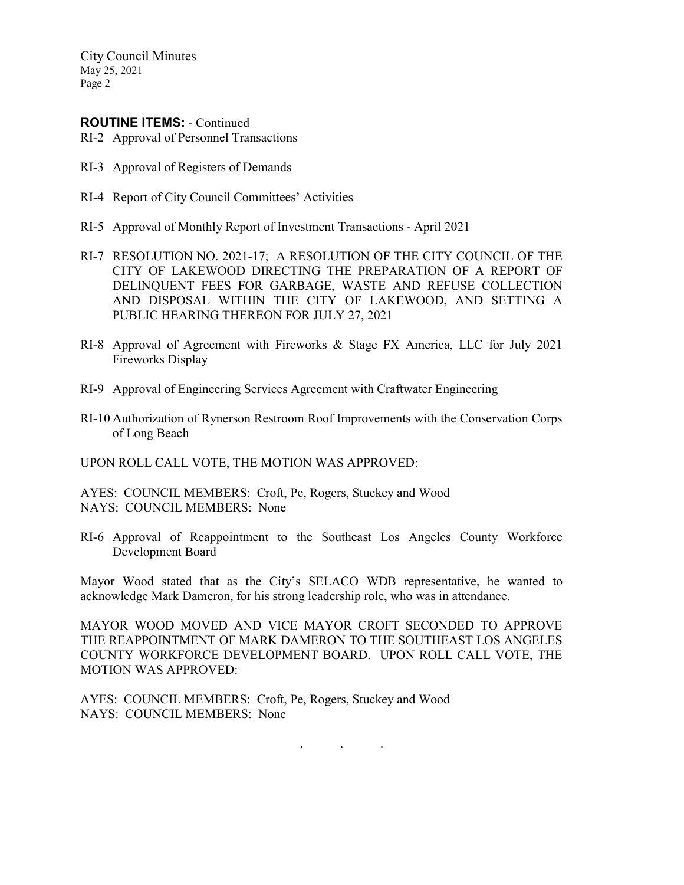City Council Minutes May 25, 2021 Page 2

#### ROUTINE ITEMS: - Continued

RI-2 Approval of Personnel Transactions

- RI-3 Approval of Registers of Demands
- RI-4 Report of City Council Committees' Activities
- RI-5 Approval of Monthly Report of Investment Transactions April 2021
- RI-7 RESOLUTION NO. 2021-17; A RESOLUTION OF THE CITY COUNCIL OF THE CITY OF LAKEWOOD DIRECTING THE PREPARATION OF A REPORT OF DELINQUENT FEES FOR GARBAGE, WASTE AND REFUSE COLLECTION AND DISPOSAL WITHIN THE CITY OF LAKEWOOD, AND SETTING A PUBLIC HEARING THEREON FOR JULY 27, 2021
- RI-8 Approval of Agreement with Fireworks & Stage FX America, LLC for July 2021 Fireworks Display
- RI-9 Approval of Engineering Services Agreement with Craftwater Engineering
- RI-10 Authorization of Rynerson Restroom Roof Improvements with the Conservation Corps of Long Beach

UPON ROLL CALL VOTE, THE MOTION WAS APPROVED:

AYES: COUNCIL MEMBERS: Croft, Pe, Rogers, Stuckey and Wood NAYS: COUNCIL MEMBERS: None

RI-6 Approval of Reappointment to the Southeast Los Angeles County Workforce Development Board

Mayor Wood stated that as the City's SELACO WDB representative, he wanted to acknowledge Mark Dameron, for his strong leadership role, who was in attendance.

MAYOR WOOD MOVED AND VICE MAYOR CROFT SECONDED TO APPROVE THE REAPPOINTMENT OF MARK DAMERON TO THE SOUTHEAST LOS ANGELES COUNTY WORKFORCE DEVELOPMENT BOARD. UPON ROLL CALL VOTE, THE MOTION WAS APPROVED:

AYES: COUNCIL MEMBERS: Croft, Pe, Rogers, Stuckey and Wood NAYS: COUNCIL MEMBERS: None

. . .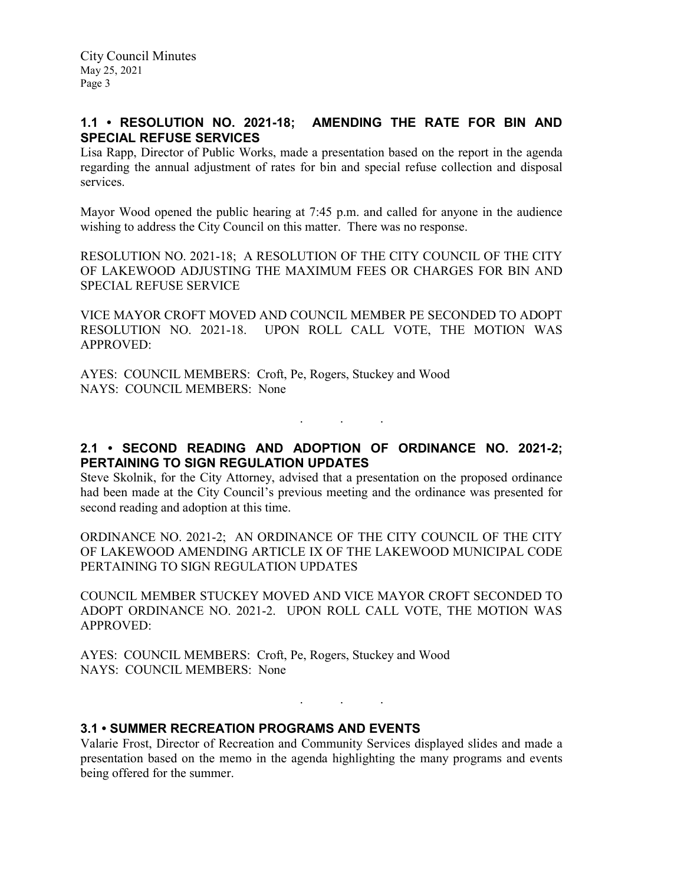# 1.1 • RESOLUTION NO. 2021-18; AMENDING THE RATE FOR BIN AND SPECIAL REFUSE SERVICES

Lisa Rapp, Director of Public Works, made a presentation based on the report in the agenda regarding the annual adjustment of rates for bin and special refuse collection and disposal services.

Mayor Wood opened the public hearing at 7:45 p.m. and called for anyone in the audience wishing to address the City Council on this matter. There was no response.

RESOLUTION NO. 2021-18; A RESOLUTION OF THE CITY COUNCIL OF THE CITY OF LAKEWOOD ADJUSTING THE MAXIMUM FEES OR CHARGES FOR BIN AND SPECIAL REFUSE SERVICE

VICE MAYOR CROFT MOVED AND COUNCIL MEMBER PE SECONDED TO ADOPT RESOLUTION NO. 2021-18. UPON ROLL CALL VOTE, THE MOTION WAS APPROVED:

AYES: COUNCIL MEMBERS: Croft, Pe, Rogers, Stuckey and Wood NAYS: COUNCIL MEMBERS: None

2.1 • SECOND READING AND ADOPTION OF ORDINANCE NO. 2021-2; PERTAINING TO SIGN REGULATION UPDATES

. . .

Steve Skolnik, for the City Attorney, advised that a presentation on the proposed ordinance had been made at the City Council's previous meeting and the ordinance was presented for second reading and adoption at this time.

ORDINANCE NO. 2021-2; AN ORDINANCE OF THE CITY COUNCIL OF THE CITY OF LAKEWOOD AMENDING ARTICLE IX OF THE LAKEWOOD MUNICIPAL CODE PERTAINING TO SIGN REGULATION UPDATES

COUNCIL MEMBER STUCKEY MOVED AND VICE MAYOR CROFT SECONDED TO ADOPT ORDINANCE NO. 2021-2. UPON ROLL CALL VOTE, THE MOTION WAS APPROVED:

AYES: COUNCIL MEMBERS: Croft, Pe, Rogers, Stuckey and Wood NAYS: COUNCIL MEMBERS: None

## 3.1 • SUMMER RECREATION PROGRAMS AND EVENTS

Valarie Frost, Director of Recreation and Community Services displayed slides and made a presentation based on the memo in the agenda highlighting the many programs and events being offered for the summer.

. . .